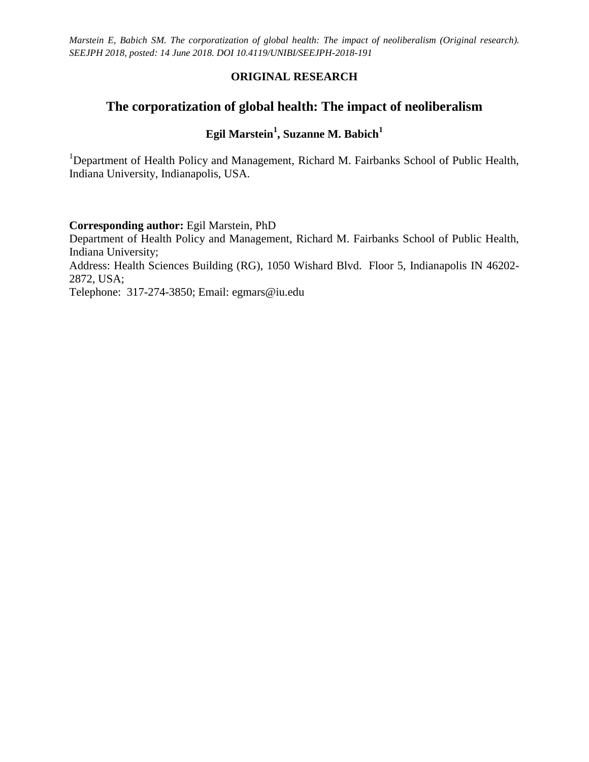### **ORIGINAL RESEARCH**

# **The corporatization of global health: The impact of neoliberalism**

## **Egil Marstein<sup>1</sup> , Suzanne M. Babich<sup>1</sup>**

<sup>1</sup>Department of Health Policy and Management, Richard M. Fairbanks School of Public Health, Indiana University, Indianapolis, USA.

#### **Corresponding author:** Egil Marstein, PhD

Department of Health Policy and Management, Richard M. Fairbanks School of Public Health, Indiana University;

Address: Health Sciences Building (RG), 1050 Wishard Blvd. Floor 5, Indianapolis IN 46202- 2872, USA;

Telephone: 317-274-3850; Email: egmars@iu.edu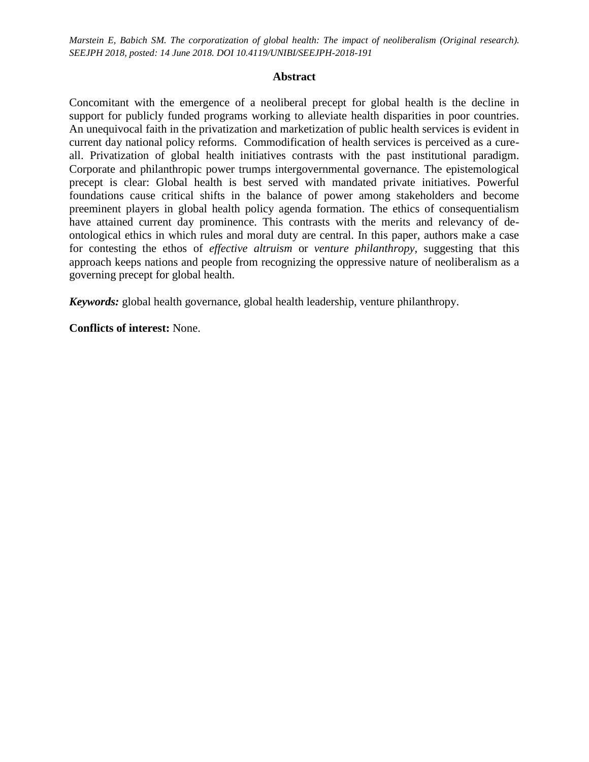#### **Abstract**

Concomitant with the emergence of a neoliberal precept for global health is the decline in support for publicly funded programs working to alleviate health disparities in poor countries. An unequivocal faith in the privatization and marketization of public health services is evident in current day national policy reforms. Commodification of health services is perceived as a cureall. Privatization of global health initiatives contrasts with the past institutional paradigm. Corporate and philanthropic power trumps intergovernmental governance. The epistemological precept is clear: Global health is best served with mandated private initiatives. Powerful foundations cause critical shifts in the balance of power among stakeholders and become preeminent players in global health policy agenda formation. The ethics of consequentialism have attained current day prominence. This contrasts with the merits and relevancy of deontological ethics in which rules and moral duty are central. In this paper, authors make a case for contesting the ethos of *effective altruism* or *venture philanthropy,* suggesting that this approach keeps nations and people from recognizing the oppressive nature of neoliberalism as a governing precept for global health.

*Keywords:* global health governance, global health leadership, venture philanthropy.

**Conflicts of interest:** None.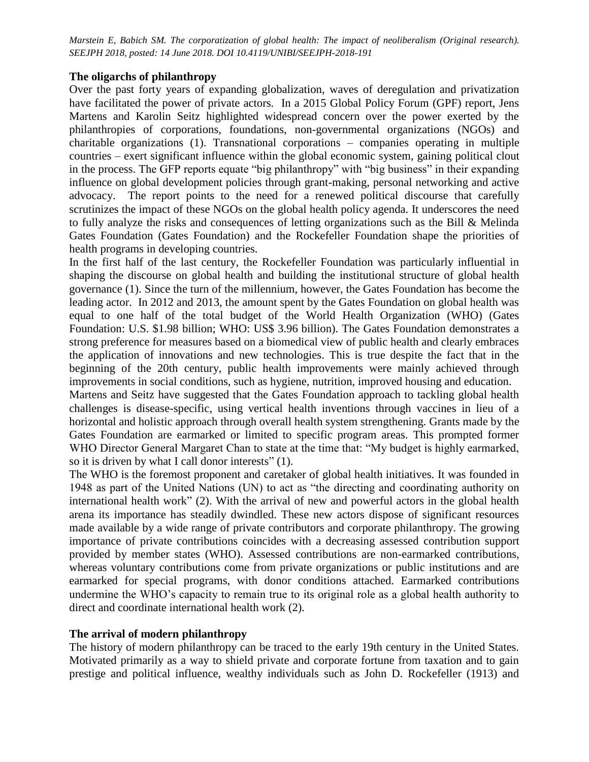#### **The oligarchs of philanthropy**

Over the past forty years of expanding globalization, waves of deregulation and privatization have facilitated the power of private actors. In a 2015 Global Policy Forum (GPF) report, Jens Martens and Karolin Seitz highlighted widespread concern over the power exerted by the philanthropies of corporations, foundations, non-governmental organizations (NGOs) and charitable organizations (1). Transnational corporations – companies operating in multiple countries – exert significant influence within the global economic system, gaining political clout in the process. The GFP reports equate "big philanthropy" with "big business" in their expanding influence on global development policies through grant-making, personal networking and active advocacy. The report points to the need for a renewed political discourse that carefully scrutinizes the impact of these NGOs on the global health policy agenda. It underscores the need to fully analyze the risks and consequences of letting organizations such as the Bill & Melinda Gates Foundation (Gates Foundation) and the Rockefeller Foundation shape the priorities of health programs in developing countries.

In the first half of the last century, the Rockefeller Foundation was particularly influential in shaping the discourse on global health and building the institutional structure of global health governance (1). Since the turn of the millennium, however, the Gates Foundation has become the leading actor. In 2012 and 2013, the amount spent by the Gates Foundation on global health was equal to one half of the total budget of the World Health Organization (WHO) (Gates Foundation: U.S. \$1.98 billion; WHO: US\$ 3.96 billion). The Gates Foundation demonstrates a strong preference for measures based on a biomedical view of public health and clearly embraces the application of innovations and new technologies. This is true despite the fact that in the beginning of the 20th century, public health improvements were mainly achieved through improvements in social conditions, such as hygiene, nutrition, improved housing and education.

Martens and Seitz have suggested that the Gates Foundation approach to tackling global health challenges is disease-specific, using vertical health inventions through vaccines in lieu of a horizontal and holistic approach through overall health system strengthening. Grants made by the Gates Foundation are earmarked or limited to specific program areas. This prompted former WHO Director General Margaret Chan to state at the time that: "My budget is highly earmarked, so it is driven by what I call donor interests" (1).

The WHO is the foremost proponent and caretaker of global health initiatives. It was founded in 1948 as part of the United Nations (UN) to act as "the directing and coordinating authority on international health work" (2). With the arrival of new and powerful actors in the global health arena its importance has steadily dwindled. These new actors dispose of significant resources made available by a wide range of private contributors and corporate philanthropy. The growing importance of private contributions coincides with a decreasing assessed contribution support provided by member states (WHO). Assessed contributions are non-earmarked contributions, whereas voluntary contributions come from private organizations or public institutions and are earmarked for special programs, with donor conditions attached. Earmarked contributions undermine the WHO's capacity to remain true to its original role as a global health authority to direct and coordinate international health work (2).

### **The arrival of modern philanthropy**

The history of modern philanthropy can be traced to the early 19th century in the United States. Motivated primarily as a way to shield private and corporate fortune from taxation and to gain prestige and political influence, wealthy individuals such as John D. Rockefeller (1913) and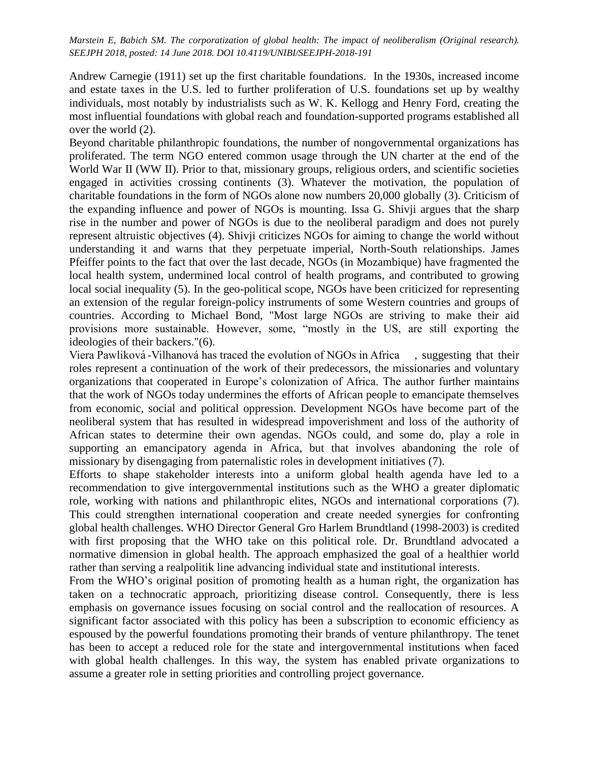Andrew Carnegie (1911) set up the first charitable foundations. In the 1930s, increased income and estate taxes in the U.S. led to further proliferation of U.S. foundations set up by wealthy individuals, most notably by industrialists such as W. K. Kellogg and Henry Ford, creating the most influential foundations with global reach and foundation-supported programs established all over the world (2).

Beyond charitable philanthropic foundations, the number of nongovernmental organizations has proliferated. The term NGO entered common usage through the UN charter at the end of the World War II (WW II). Prior to that, missionary groups, religious orders, and scientific societies engaged in activities crossing continents (3). Whatever the motivation, the population of charitable foundations in the form of NGOs alone now numbers 20,000 globally (3). Criticism of the expanding influence and power of NGOs is mounting. [Issa G. Shivji](https://en.wikipedia.org/wiki/Issa_G._Shivji) argues that the sharp rise in the number and power of NGOs is due to the [neoliberal](https://en.wikipedia.org/wiki/Neoliberal) paradigm and does not purely represent altruistic objectives (4). Shivji criticizes NGOs for aiming to change the world without understanding it and warns that they perpetuate [imperial,](https://en.wikipedia.org/wiki/Imperialism) North-South relationships. James Pfeiffer points to the fact that over the last decade, NGOs (in Mozambique) have fragmented the local health system, undermined local control of health programs, and contributed to growing local social inequality (5). In the geo-political scope, NGOs have been criticized for representing an extension of the regular foreign-policy instruments of some Western countries and groups of countries. According to Michael Bond, "Most large NGOs are striving to make their aid provisions more sustainable. However, some, "mostly in the US, are still exporting the ideologies of their backers."(6).

Viera Pawliková-Vilhanová has traced the evolution of NGOs in Africa , suggesting that their roles represent a continuation of the work of their predecessors, the missionaries and voluntary organizations that cooperated in Europe's colonization of Africa. The author further maintains that the work of NGOs today undermines the efforts of African people to emancipate themselves from economic, social and political oppression. Development NGOs have become part of the neoliberal system that has resulted in widespread impoverishment and loss of the authority of African states to determine their own agendas. NGOs could, and some do, play a role in supporting an emancipatory agenda in Africa, but that involves abandoning the role of missionary by disengaging from paternalistic roles in development initiatives (7).

Efforts to shape stakeholder interests into a uniform global health agenda have led to a recommendation to give intergovernmental institutions such as the WHO a greater diplomatic role, working with nations and philanthropic elites, NGOs and international corporations (7). This could strengthen international cooperation and create needed synergies for confronting global health challenges. WHO Director General Gro Harlem Brundtland (1998-2003) is credited with first proposing that the WHO take on this political role. Dr. Brundtland advocated a normative dimension in global health. The approach emphasized the goal of a healthier world rather than serving a realpolitik line advancing individual state and institutional interests.

From the WHO's original position of promoting health as a human right, the organization has taken on a technocratic approach, prioritizing disease control. Consequently, there is less emphasis on governance issues focusing on social control and the reallocation of resources. A significant factor associated with this policy has been a subscription to economic efficiency as espoused by the powerful foundations promoting their brands of venture philanthropy. The tenet has been to accept a reduced role for the state and intergovernmental institutions when faced with global health challenges. In this way, the system has enabled private organizations to assume a greater role in setting priorities and controlling project governance.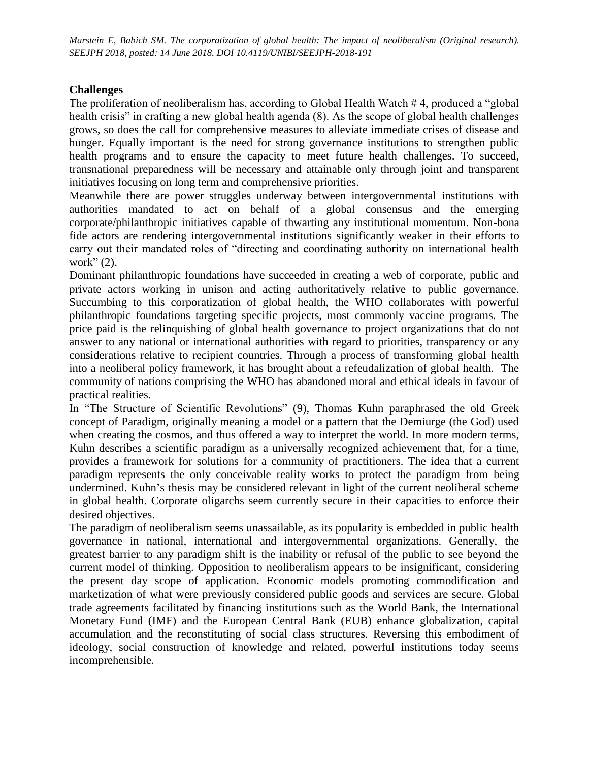### **Challenges**

The proliferation of neoliberalism has, according to Global Health Watch # 4, produced a "global health crisis" in crafting a new global health agenda (8). As the scope of global health challenges grows, so does the call for comprehensive measures to alleviate immediate crises of disease and hunger. Equally important is the need for strong governance institutions to strengthen public health programs and to ensure the capacity to meet future health challenges. To succeed, transnational preparedness will be necessary and attainable only through joint and transparent initiatives focusing on long term and comprehensive priorities.

Meanwhile there are power struggles underway between intergovernmental institutions with authorities mandated to act on behalf of a global consensus and the emerging corporate/philanthropic initiatives capable of thwarting any institutional momentum. Non-bona fide actors are rendering intergovernmental institutions significantly weaker in their efforts to carry out their mandated roles of "directing and coordinating authority on international health work" $(2)$ .

Dominant philanthropic foundations have succeeded in creating a web of corporate, public and private actors working in unison and acting authoritatively relative to public governance. Succumbing to this corporatization of global health, the WHO collaborates with powerful philanthropic foundations targeting specific projects, most commonly vaccine programs. The price paid is the relinquishing of global health governance to project organizations that do not answer to any national or international authorities with regard to priorities, transparency or any considerations relative to recipient countries. Through a process of transforming global health into a neoliberal policy framework, it has brought about a refeudalization of global health. The community of nations comprising the WHO has abandoned moral and ethical ideals in favour of practical realities.

In "The Structure of Scientific Revolutions" (9), Thomas Kuhn paraphrased the old Greek concept of Paradigm, originally meaning a model or a pattern that the Demiurge (the God) used when creating the cosmos, and thus offered a way to interpret the world. In more modern terms, Kuhn describes a scientific paradigm as a universally recognized achievement that, for a time, provides a framework for solutions for a community of practitioners. The idea that a current paradigm represents the only conceivable reality works to protect the paradigm from being undermined. Kuhn's thesis may be considered relevant in light of the current neoliberal scheme in global health. Corporate oligarchs seem currently secure in their capacities to enforce their desired objectives.

The paradigm of neoliberalism seems unassailable, as its popularity is embedded in public health governance in national, international and intergovernmental organizations. Generally, the greatest barrier to any paradigm shift is the inability or refusal of the public to see beyond the current model of thinking. Opposition to neoliberalism appears to be insignificant, considering the present day scope of application. Economic models promoting commodification and marketization of what were previously considered public goods and services are secure. Global trade agreements facilitated by financing institutions such as the World Bank, the International Monetary Fund (IMF) and the European Central Bank (EUB) enhance globalization, capital accumulation and the reconstituting of social class structures. Reversing this embodiment of ideology, social construction of knowledge and related, powerful institutions today seems incomprehensible.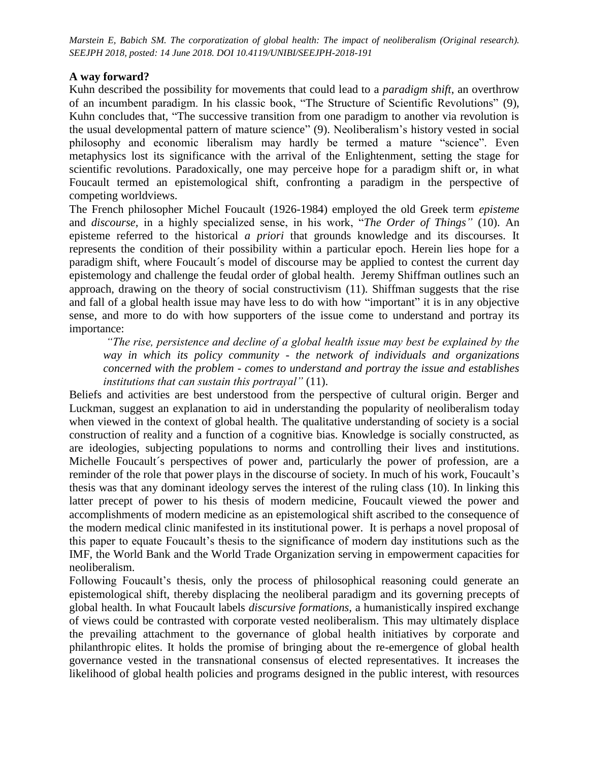#### **A way forward?**

Kuhn described the possibility for movements that could lead to a *paradigm shift*, an overthrow of an incumbent paradigm. In his classic book, "The Structure of Scientific Revolutions" (9), Kuhn concludes that, "The successive transition from one paradigm to another via revolution is the usual developmental pattern of mature science" (9). Neoliberalism's history vested in social philosophy and economic liberalism may hardly be termed a mature "science". Even metaphysics lost its significance with the arrival of the Enlightenment, setting the stage for scientific revolutions. Paradoxically, one may perceive hope for a paradigm shift or, in what Foucault termed an epistemological shift, confronting a paradigm in the perspective of competing worldviews.

The French philosopher Michel Foucault (1926-1984) employed the old Greek term *episteme* and *[discourse,](https://en.wikipedia.org/wiki/Discourse)* in a highly specialized sense, in his work, "*[The Order of Things"](https://en.wikipedia.org/wiki/The_Order_of_Things)* (10). An episteme referred to the historical *[a priori](https://en.wikipedia.org/wiki/A_priori_and_a_posteriori)* that grounds knowledge and its [discourses.](https://en.wikipedia.org/wiki/Discourse) It represents the [condition of their possibility](https://en.wikipedia.org/wiki/Condition_of_possibility) within a particular epoch. Herein lies hope for a paradigm shift, where Foucault´s model of discourse may be applied to contest the current day epistemology and challenge the feudal order of global health. Jeremy Shiffman outlines such an approach, drawing on the theory of social constructivism (11). Shiffman suggests that the rise and fall of a global health issue may have less to do with how "important" it is in any objective sense, and more to do with how supporters of the issue come to understand and portray its importance:

*"The rise, persistence and decline of a global health issue may best be explained by the way in which its policy community - the network of individuals and organizations concerned with the problem - comes to understand and portray the issue and establishes institutions that can sustain this portrayal"* (11).

Beliefs and activities are best understood from the perspective of cultural origin. Berger and Luckman, suggest an explanation to aid in understanding the popularity of neoliberalism today when viewed in the context of global health. The qualitative understanding of society is a social construction of reality and a function of a cognitive bias. Knowledge is socially constructed, as are ideologies, subjecting populations to norms and controlling their lives and institutions. Michelle Foucault´s perspectives of power and, particularly the power of profession, are a reminder of the role that power plays in the discourse of society. In much of his work, Foucault's thesis was that any dominant ideology serves the interest of the ruling class (10). In linking this latter precept of power to his thesis of modern medicine, Foucault viewed the power and accomplishments of modern medicine as an epistemological shift ascribed to the consequence of the modern medical clinic manifested in its institutional power. It is perhaps a novel proposal of this paper to equate Foucault's thesis to the significance of modern day institutions such as the IMF, the World Bank and the World Trade Organization serving in empowerment capacities for neoliberalism.

Following Foucault's thesis, only the process of philosophical reasoning could generate an epistemological shift, thereby displacing the neoliberal paradigm and its governing precepts of global health. In what Foucault labels *discursive formations,* a humanistically inspired exchange of views could be contrasted with corporate vested neoliberalism. This may ultimately displace the prevailing attachment to the governance of global health initiatives by corporate and philanthropic elites. It holds the promise of bringing about the re-emergence of global health governance vested in the transnational consensus of elected representatives. It increases the likelihood of global health policies and programs designed in the public interest, with resources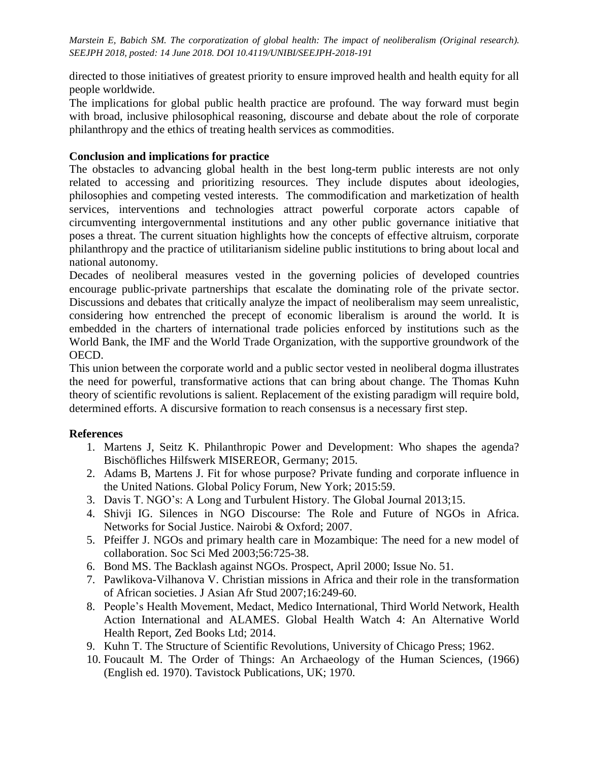directed to those initiatives of greatest priority to ensure improved health and health equity for all people worldwide.

The implications for global public health practice are profound. The way forward must begin with broad, inclusive philosophical reasoning, discourse and debate about the role of corporate philanthropy and the ethics of treating health services as commodities.

#### **Conclusion and implications for practice**

The obstacles to advancing global health in the best long-term public interests are not only related to accessing and prioritizing resources. They include disputes about ideologies, philosophies and competing vested interests. The commodification and marketization of health services, interventions and technologies attract powerful corporate actors capable of circumventing intergovernmental institutions and any other public governance initiative that poses a threat. The current situation highlights how the concepts of effective altruism, corporate philanthropy and the practice of utilitarianism sideline public institutions to bring about local and national autonomy.

Decades of neoliberal measures vested in the governing policies of developed countries encourage public-private partnerships that escalate the dominating role of the private sector. Discussions and debates that critically analyze the impact of neoliberalism may seem unrealistic, considering how entrenched the precept of economic liberalism is around the world. It is embedded in the charters of international trade policies enforced by institutions such as the World Bank, the IMF and the World Trade Organization, with the supportive groundwork of the OECD.

This union between the corporate world and a public sector vested in neoliberal dogma illustrates the need for powerful, transformative actions that can bring about change. The Thomas Kuhn theory of scientific revolutions is salient. Replacement of the existing paradigm will require bold, determined efforts. A discursive formation to reach consensus is a necessary first step.

### **References**

- 1. Martens J, Seitz K. Philanthropic Power and Development: Who shapes the agenda? Bischöfliches Hilfswerk MISEREOR, Germany; 2015.
- 2. Adams B, Martens J. Fit for whose purpose? Private funding and corporate influence in the United Nations. Global Policy Forum, New York; 2015:59.
- 3. Davis T. NGO's: A Long and Turbulent History. The Global Journal 2013;15.
- 4. Shivji IG. Silences in NGO Discourse: The Role and Future of NGOs in Africa. Networks for Social Justice. Nairobi & Oxford; 2007.
- 5. Pfeiffer J. NGOs and primary health care in Mozambique: The need for a new model of collaboration. Soc Sci Med 2003;56:725-38.
- 6. Bond MS. The Backlash against NGOs. Prospect, April 2000; Issue No. 51.
- 7. Pawlikova-Vilhanova V. Christian missions in Africa and their role in the transformation of African societies. J Asian Afr Stud 2007;16:249-60.
- 8. People's Health Movement, Medact, Medico International, Third World Network, Health Action International and ALAMES. Global Health Watch 4: An Alternative World Health Report, Zed Books Ltd; 2014.
- 9. Kuhn T. The Structure of Scientific Revolutions, University of Chicago Press; 1962.
- 10. Foucault M. The Order of Things: An Archaeology of the Human Sciences, (1966) (English ed. 1970). Tavistock Publications, UK; 1970.